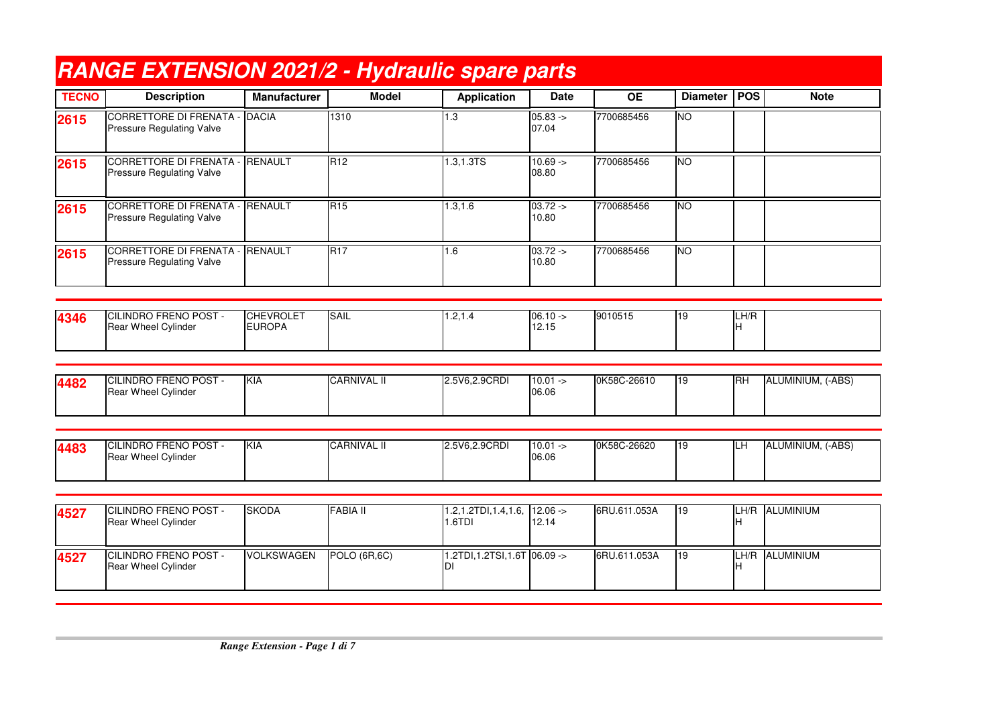|              | <b>RANGE EXTENSION 2021/2 - Hydraulic spare parts</b>               |                                   |                     |                                        |                      |              |                 |             |                   |
|--------------|---------------------------------------------------------------------|-----------------------------------|---------------------|----------------------------------------|----------------------|--------------|-----------------|-------------|-------------------|
| <b>TECNO</b> | <b>Description</b>                                                  | <b>Manufacturer</b>               | <b>Model</b>        | <b>Application</b>                     | <b>Date</b>          | <b>OE</b>    | Diameter   POS  |             | <b>Note</b>       |
| 2615         | <b>CORRETTORE DI FRENATA - DACIA</b><br>Pressure Regulating Valve   |                                   | 1310                | 1.3                                    | $05.83 ->$<br>07.04  | 7700685456   | Ю               |             |                   |
| 2615         | <b>CORRETTORE DI FRENATA -</b><br>Pressure Regulating Valve         | RENAULT                           | R12                 | 1.3,1.3TS                              | $10.69 ->$<br>08.80  | 7700685456   | $\overline{NO}$ |             |                   |
| 2615         | <b>CORRETTORE DI FRENATA -</b><br>Pressure Regulating Valve         | <b>RENAULT</b>                    | R <sub>15</sub>     | 1.3, 1.6                               | $03.72 -$<br>10.80   | 7700685456   | <b>NO</b>       |             |                   |
| 2615         | <b>CORRETTORE DI FRENATA - RENAULT</b><br>Pressure Regulating Valve |                                   | <b>R17</b>          | 1.6                                    | $03.72 -$<br>10.80   | 7700685456   | <b>NO</b>       |             |                   |
|              |                                                                     |                                   |                     |                                        |                      |              |                 |             |                   |
| 4346         | CILINDRO FRENO POST -<br>Rear Wheel Cylinder                        | <b>CHEVROLET</b><br><b>EUROPA</b> | <b>SAIL</b>         | 1.2, 1.4                               | $06.10 ->$<br>12.15  | 9010515      | 19              | LH/R<br>lH. |                   |
|              |                                                                     |                                   |                     |                                        |                      |              |                 |             |                   |
| 4482         | CILINDRO FRENO POST -<br>Rear Wheel Cylinder                        | KIA                               | <b>CARNIVAL II</b>  | 2.5V6,2.9CRDI                          | $10.01 -$<br>06.06   | 0K58C-26610  | 19              | <b>I</b> RH | ALUMINIUM, (-ABS) |
|              |                                                                     |                                   |                     |                                        |                      |              |                 |             |                   |
| 4483         | CILINDRO FRENO POST -<br>Rear Wheel Cylinder                        | KIA                               | <b>CARNIVAL II</b>  | 2.5V6,2.9CRDI                          | $10.01 - 5$<br>06.06 | 0K58C-26620  | 19              | LH          | ALUMINIUM, (-ABS) |
|              |                                                                     |                                   |                     |                                        |                      |              |                 |             |                   |
| 4527         | CILINDRO FRENO POST -<br>Rear Wheel Cylinder                        | <b>SKODA</b>                      | <b>FABIA II</b>     | $1.2, 1.2$ TDI, $1.4, 1.6$ ,<br>1.6TDI | $12.06 ->$<br>12.14  | 6RU.611.053A | 19              |             | LH/R ALUMINIUM    |
| 4527         | <b>CILINDRO FRENO POST -</b><br>Rear Wheel Cylinder                 | <b>VOLKSWAGEN</b>                 | <b>POLO (6R,6C)</b> | 1.2TDI, 1.2TSI, 1.6T 06.09 -><br>וח    |                      | 6RU.611.053A | $\overline{19}$ | Iн          | LH/R ALUMINIUM    |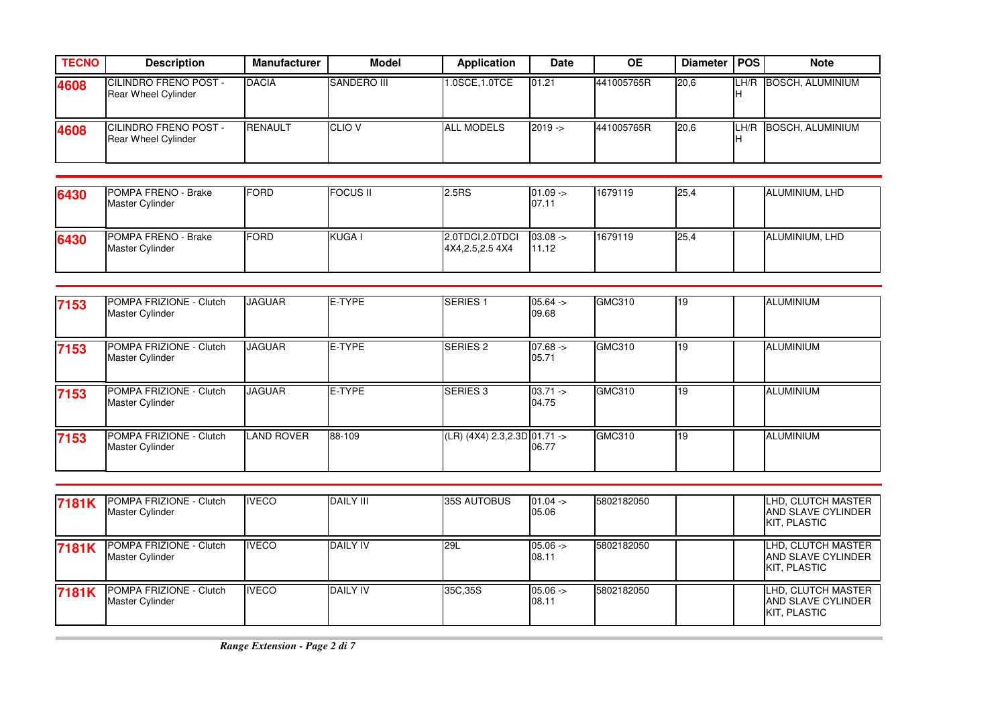| <b>TECNO</b> | <b>Description</b>                                         | <b>Manufacturer</b> | Model          | Application       | <b>Date</b> | ΟE         | Diameter   POS |      | <b>Note</b>      |
|--------------|------------------------------------------------------------|---------------------|----------------|-------------------|-------------|------------|----------------|------|------------------|
| 4608         | <b>CILINDRO FRENO POST -</b><br><b>Rear Wheel Cylinder</b> | <b>DACIA</b>        | SANDERO III    | 1.0SCE, 1.0TCE    | 01.21       | 441005765R | 20,6           | LH/R | BOSCH. ALUMINIUM |
| 4608         | <b>CILINDRO FRENO POST -</b><br><b>Rear Wheel Cylinder</b> | <b>RENAULT</b>      | <b>ICLIO V</b> | <b>ALL MODELS</b> | $2019 - 5$  | 441005765R | 20,6           | LH/R | BOSCH. ALUMINIUM |

| 6430 | POMPA FRENO - Brake<br><b>Master Cylinder</b> | <b>IFORD</b> | <b>FOCUS II</b> | 2.5RS                                 | $01.09 -$<br>07.11  | 1679119 | 25,4 | ALUMINIUM, LHD |
|------|-----------------------------------------------|--------------|-----------------|---------------------------------------|---------------------|---------|------|----------------|
| 6430 | POMPA FRENO - Brake<br><b>Master Cylinder</b> | <b>IFORD</b> | KUGA I          | 2.0TDCI, 2.0TDCI<br>4X4, 2.5, 2.5 4X4 | $03.08 -$<br>111.12 | 1679119 | 25,4 | ALUMINIUM, LHD |

| 7153 | POMPA FRIZIONE - Clutch<br>Master Cylinder | <b>JAGUAR</b>     | <b>IE-TYPE</b> | <b>SERIES1</b>               | $05.64 -$<br>09.68  | GMC310        | 119        | <b>ALUMINIUM</b> |  |
|------|--------------------------------------------|-------------------|----------------|------------------------------|---------------------|---------------|------------|------------------|--|
| 7153 | POMPA FRIZIONE - Clutch<br>Master Cylinder | <b>JAGUAR</b>     | E-TYPE         | <b>SERIES 2</b>              | $07.68 ->$<br>05.71 | <b>GMC310</b> | 19         | ALUMINIUM        |  |
| 7153 | POMPA FRIZIONE - Clutch<br>Master Cylinder | <b>JAGUAR</b>     | <b>E-TYPE</b>  | <b>SERIES 3</b>              | $03.71 -$<br>04.75  | <b>GMC310</b> | 19         | <b>ALUMINIUM</b> |  |
| 7153 | POMPA FRIZIONE - Clutch<br>Master Cylinder | <b>LAND ROVER</b> | 88-109         | (LR) (4X4) 2.3,2.3D 01.71 -> | 06.77               | GMC310        | <b>119</b> | <b>ALUMINIUM</b> |  |

| 7181K | POMPA FRIZIONE - Clutch<br>Master Cylinder        | <b>IVECO</b> | <b>DAILY III</b> | 35S AUTOBUS | $01.04 -$<br>05.06 | 5802182050 | LHD, CLUTCH MASTER<br><b>JAND SLAVE CYLINDER</b><br><b>I</b> KIT. PLASTIC |
|-------|---------------------------------------------------|--------------|------------------|-------------|--------------------|------------|---------------------------------------------------------------------------|
| 7181K | POMPA FRIZIONE - Clutch<br><b>Master Cylinder</b> | <b>IVECO</b> | <b>DAILY IV</b>  | <b>29L</b>  | $05.06 -$<br>08.11 | 5802182050 | LHD, CLUTCH MASTER<br><b>JAND SLAVE CYLINDER</b><br>KIT, PLASTIC          |
| 7181K | POMPA FRIZIONE - Clutch<br><b>Master Cylinder</b> | <b>IVECO</b> | <b>DAILY IV</b>  | 35C, 35S    | $05.06 -$<br>08.11 | 5802182050 | LHD, CLUTCH MASTER<br><b>JAND SLAVE CYLINDER</b><br><b>I</b> KIT. PLASTIC |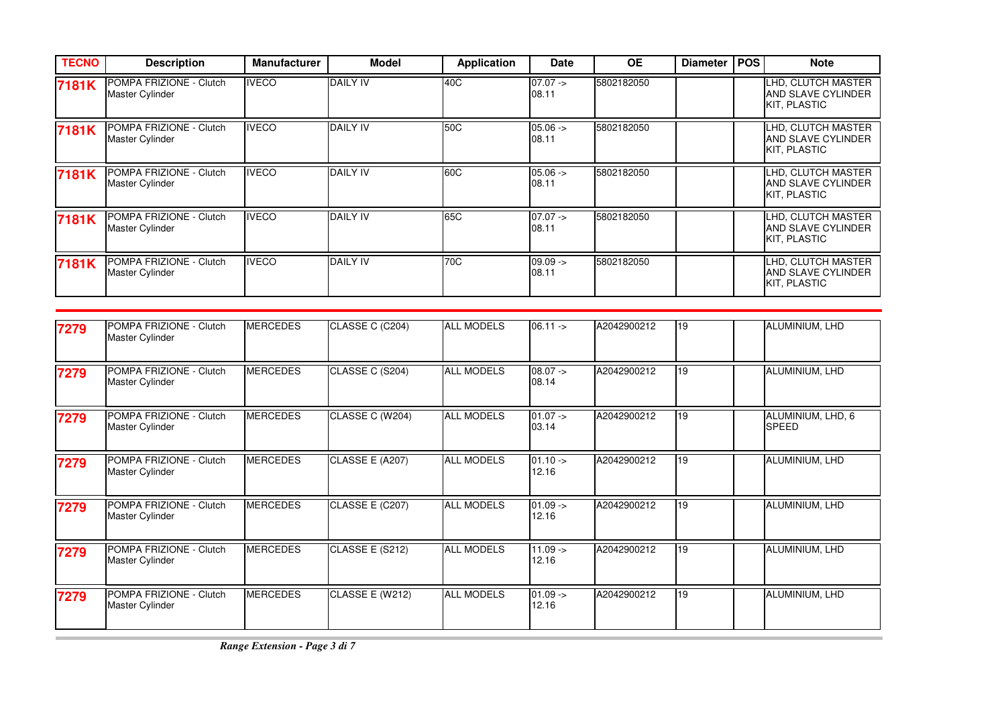| <b>TECNO</b> | <b>Description</b>                                       | <b>Manufacturer</b> | <b>Model</b>    | Application | <b>Date</b>        | <b>OE</b>  | <b>Diameter</b> | <b>POS</b> | <b>Note</b>                                                     |
|--------------|----------------------------------------------------------|---------------------|-----------------|-------------|--------------------|------------|-----------------|------------|-----------------------------------------------------------------|
| 7181K        | POMPA FRIZIONE - Clutch<br>Master Cylinder               | <b>IVECO</b>        | <b>DAILY IV</b> | 40C         | $07.07 -$<br>08.11 | 5802182050 |                 |            | LHD, CLUTCH MASTER<br><b>AND SLAVE CYLINDER</b><br>KIT, PLASTIC |
| 7181K        | POMPA FRIZIONE - Clutch<br>Master Cylinder               | <b>IVECO</b>        | <b>DAILY IV</b> | 50C         | $05.06 -$<br>08.11 | 5802182050 |                 |            | LHD, CLUTCH MASTER<br><b>AND SLAVE CYLINDER</b><br>KIT, PLASTIC |
| 7181K        | <b>POMPA FRIZIONE - Clutch</b><br><b>Master Cylinder</b> | <b>IVECO</b>        | <b>DAILY IV</b> | 60C         | $05.06 -$<br>08.11 | 5802182050 |                 |            | LHD, CLUTCH MASTER<br><b>AND SLAVE CYLINDER</b><br>KIT, PLASTIC |
| 7181K        | <b>POMPA FRIZIONE - Clutch</b><br>Master Cylinder        | <b>IVECO</b>        | <b>DAILY IV</b> | 65C         | $07.07 -$<br>08.11 | 5802182050 |                 |            | LHD, CLUTCH MASTER<br><b>AND SLAVE CYLINDER</b><br>KIT. PLASTIC |
| 7181K        | POMPA FRIZIONE - Clutch<br>Master Cylinder               | <b>IVECO</b>        | <b>DAILY IV</b> | 70C         | $09.09 -$<br>08.11 | 5802182050 |                 |            | LHD, CLUTCH MASTER<br><b>AND SLAVE CYLINDER</b><br>KIT, PLASTIC |

| 7279 | POMPA FRIZIONE - Clutch<br>Master Cylinder        | <b>MERCEDES</b> | CLASSE C (C204) | <b>ALL MODELS</b> | $06.11 -$           | A2042900212 | 19 | ALUMINIUM, LHD                    |
|------|---------------------------------------------------|-----------------|-----------------|-------------------|---------------------|-------------|----|-----------------------------------|
| 7279 | POMPA FRIZIONE - Clutch<br>Master Cylinder        | <b>MERCEDES</b> | CLASSE C (S204) | <b>ALL MODELS</b> | $08.07 -$<br>08.14  | A2042900212 | 19 | ALUMINIUM, LHD                    |
| 7279 | POMPA FRIZIONE - Clutch<br>Master Cylinder        | <b>MERCEDES</b> | CLASSE C (W204) | <b>ALL MODELS</b> | $01.07 ->$<br>03.14 | A2042900212 | 19 | ALUMINIUM, LHD, 6<br><b>SPEED</b> |
| 7279 | POMPA FRIZIONE - Clutch<br>Master Cylinder        | <b>MERCEDES</b> | CLASSE E (A207) | <b>ALL MODELS</b> | $01.10 ->$<br>12.16 | A2042900212 | 19 | ALUMINIUM, LHD                    |
| 7279 | POMPA FRIZIONE - Clutch<br>Master Cylinder        | <b>MERCEDES</b> | CLASSE E (C207) | <b>ALL MODELS</b> | $01.09 ->$<br>12.16 | A2042900212 | 19 | ALUMINIUM, LHD                    |
| 7279 | POMPA FRIZIONE - Clutch<br><b>Master Cylinder</b> | <b>MERCEDES</b> | CLASSE E (S212) | <b>ALL MODELS</b> | $11.09 ->$<br>12.16 | A2042900212 | 19 | ALUMINIUM, LHD                    |
| 7279 | POMPA FRIZIONE - Clutch<br><b>Master Cylinder</b> | <b>MERCEDES</b> | CLASSE E (W212) | <b>ALL MODELS</b> | $01.09 -$<br>12.16  | A2042900212 | 19 | ALUMINIUM, LHD                    |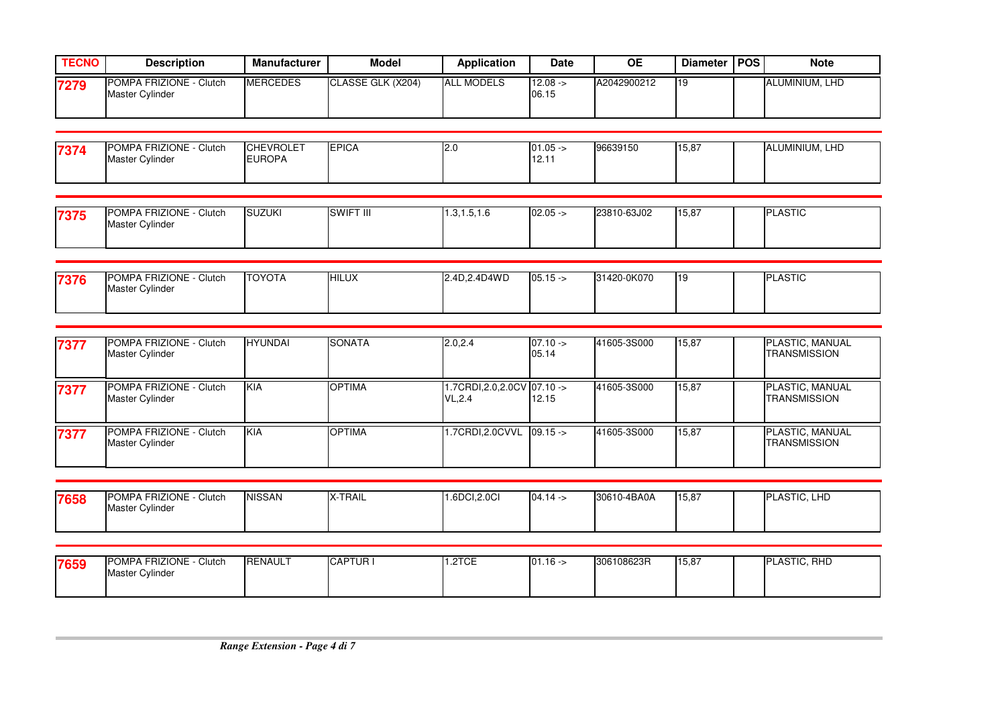| <b>TECNO</b> | <b>Description</b>                         | <b>Manufacturer</b> | <b>Model</b>      | <b>Application</b> | <b>Date</b>          | <b>OE</b>   | Diameter   POS | <b>Note</b>           |
|--------------|--------------------------------------------|---------------------|-------------------|--------------------|----------------------|-------------|----------------|-----------------------|
| 7279         | POMPA FRIZIONE - Clutch<br>Master Cylinder | <b>MERCEDES</b>     | CLASSE GLK (X204) | <b>ALL MODELS</b>  | $12.08 - 5$<br>06.15 | A2042900212 | '19            | <b>ALUMINIUM, LHD</b> |

| 7374 | POMPA FRIZIONE - C<br>Clutch | <b>CHEVROLET</b> | <b>IEPICA</b> | ، کا | $01.05 -$ | 96639150 | 15,87 | ALUMINIUM, LHD |
|------|------------------------------|------------------|---------------|------|-----------|----------|-------|----------------|
|      | Master Cylinder              | UROPA∟           |               |      | 12.11     |          |       |                |
|      |                              |                  |               |      |           |          |       |                |

| 7375 | <b>POMPA FRIZIONE</b><br>Clutch | <b>SUZUKI</b> | SWIFT III | 1.3.1.5.1.0 | $02.05 -$ | 23810-63J02 | 15,87 | <b>ASTIC</b><br>IDI |
|------|---------------------------------|---------------|-----------|-------------|-----------|-------------|-------|---------------------|
|      | <b>Master Cylinder</b>          |               |           |             |           |             |       |                     |
|      |                                 |               |           |             |           |             |       |                     |

| 7376 | <b>IPOMPA FRIZIONE - \</b><br>Clutch | <b>TOYOTA</b> | <b>HILUX</b> | 2.4D.2.4D4WD | $05.15 -$ | 31420-0K070 | 110<br>، ا | <b>PLASTIC</b> |
|------|--------------------------------------|---------------|--------------|--------------|-----------|-------------|------------|----------------|
|      | <b>Master Cylinder</b>               |               |              |              |           |             |            |                |
|      |                                      |               |              |              |           |             |            |                |

| 7377 | <b>POMPA FRIZIONE - Clutch</b><br>Master Cylinder | <b>HYUNDAI</b> | <b>SONATA</b> | 2.0.2.4                                        | $07.10 ->$<br>05.14 | 41605-3S000 | 15,87 | PLASTIC, MANUAL<br><b>TRANSMISSION</b>        |
|------|---------------------------------------------------|----------------|---------------|------------------------------------------------|---------------------|-------------|-------|-----------------------------------------------|
| 7377 | POMPA FRIZIONE - Clutch<br>Master Cylinder        | <b>KIA</b>     | <b>OPTIMA</b> | 1.7CRDI, 2.0, 2.0 CV 07.10 -><br><b>VL.2.4</b> | 12.15               | 41605-3S000 | 15,87 | <b>PLASTIC, MANUAL</b><br><b>TRANSMISSION</b> |
| 7377 | POMPA FRIZIONE - Clutch<br><b>Master Cylinder</b> | <b>KIA</b>     | <b>OPTIMA</b> | 1.7CRDI, 2.0CVVL 09.15 ->                      |                     | 41605-3S000 | 15,87 | <b>PLASTIC, MANUAL</b><br><b>TRANSMISSION</b> |

| 7658 | POMPA FRIZIONE -<br>· Clutch | <b>NISSAN</b> | X-TRAIL | 1.6DCI,2.0CI | $04.14 -$ | 30610-4BA0A | 15,87 | <b>PLASTIC.</b><br>. LHD |
|------|------------------------------|---------------|---------|--------------|-----------|-------------|-------|--------------------------|
|      | Master Cylinder              |               |         |              |           |             |       |                          |

| 7659 | <b>IPOMPA FRIZIONE -</b><br>- Clutch<br><b>Master Cylinder</b> | <b>RENAULT</b> | <b>ICAPTUR</b> | $1.0T$ C<br>. . <i>.</i> | $01.16 -$ | 306108623R | 15,87 | <b>PLASTIC, RHD</b> |
|------|----------------------------------------------------------------|----------------|----------------|--------------------------|-----------|------------|-------|---------------------|
|      |                                                                |                |                |                          |           |            |       |                     |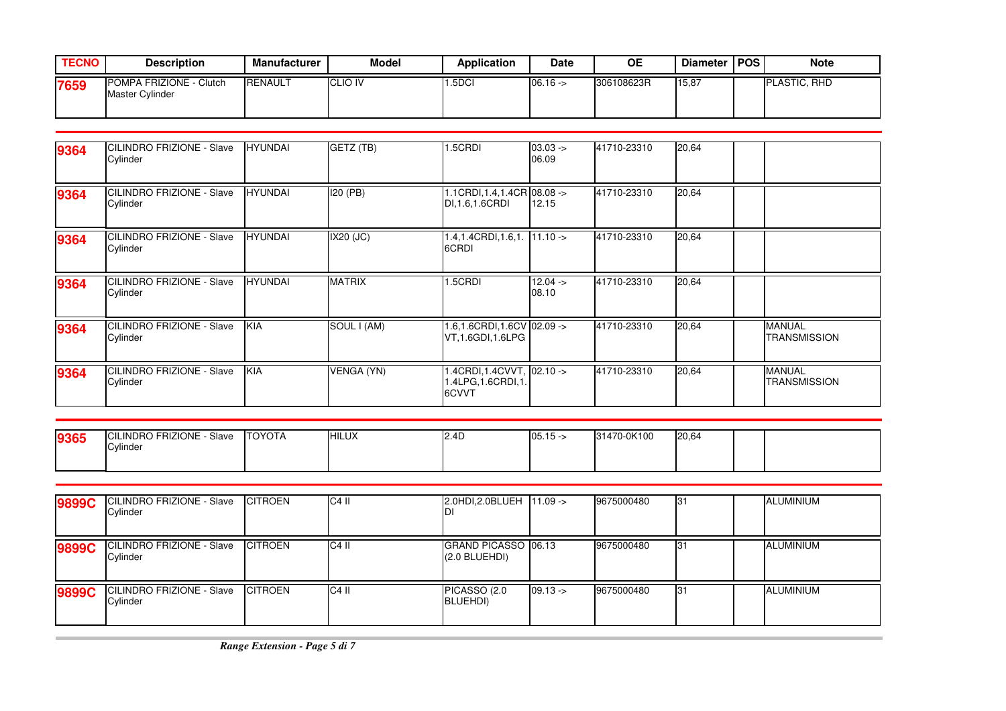| <b>TECNO</b> | <b>Description</b>                                | Manufacturer   | <b>Model</b>   | <b>Application</b> | Date      | <b>OE</b>  | <b>Diameter</b> | <b>IPOS</b> | <b>Note</b>         |
|--------------|---------------------------------------------------|----------------|----------------|--------------------|-----------|------------|-----------------|-------------|---------------------|
| 7659         | POMPA FRIZIONE - Clutch<br><b>Master Cylinder</b> | <b>RENAULT</b> | <b>CLIO IV</b> | .5DCI              | $06.16 -$ | 306108623R | 15,87           |             | <b>PLASTIC, RHD</b> |

| 9364 | CILINDRO FRIZIONE - Slave<br>Cylinder | <b>HYUNDAI</b> | GETZ (TB)         | 1.5CRDI                                                   | $03.03 -$<br>06.09 | 41710-23310 | 20,64 |                               |
|------|---------------------------------------|----------------|-------------------|-----------------------------------------------------------|--------------------|-------------|-------|-------------------------------|
| 9364 | CILINDRO FRIZIONE - Slave<br>Cylinder | <b>HYUNDAI</b> | <b>I20 (PB)</b>   | 1.1CRDI, 1.4, 1.4CR 08.08 -><br>DI.1.6.1.6CRDI            | 12.15              | 41710-23310 | 20,64 |                               |
| 9364 | CILINDRO FRIZIONE - Slave<br>Cylinder | <b>HYUNDAI</b> | IX20 (JC)         | 1.4,1.4CRDI,1.6,1. 11.10 -><br>6CRDI                      |                    | 41710-23310 | 20,64 |                               |
| 9364 | CILINDRO FRIZIONE - Slave<br>Cylinder | <b>HYUNDAI</b> | <b>MATRIX</b>     | 1.5CRDI                                                   | $12.04 -$<br>08.10 | 41710-23310 | 20,64 |                               |
| 9364 | CILINDRO FRIZIONE - Slave<br>Cylinder | <b>KIA</b>     | SOUL I (AM)       | 1.6.1.6CRDI.1.6CV 02.09 -><br>VT.1.6GDI.1.6LPG            |                    | 41710-23310 | 20,64 | <b>MANUAL</b><br>TRANSMISSION |
| 9364 | CILINDRO FRIZIONE - Slave<br>Cylinder | KIA            | <b>VENGA (YN)</b> | 1.4CRDI,1.4CVVT, 02.10 -><br>1.4LPG, 1.6CRDI, 1.<br>6CVVT |                    | 41710-23310 | 20,64 | <b>MANUAL</b><br>TRANSMISSION |

|      | <b>CILINDRO FRIZIONE</b><br>Slave | <b>TOYOTA</b> | <b>HILUX</b> | $\sim$<br>12.4L | 05.15<br>∵- 15. | 31470-0K100 | 20,64 |  |
|------|-----------------------------------|---------------|--------------|-----------------|-----------------|-------------|-------|--|
| 9365 | Cylinder                          |               |              |                 |                 |             |       |  |
|      |                                   |               |              |                 |                 |             |       |  |
|      |                                   |               |              |                 |                 |             |       |  |

| 9899C | <b>CILINDRO FRIZIONE - Slave</b><br>Cylinder | <b>CITROEN</b> | $C4$ II | 2.0HDI, 2.0BLUEH 11.09 ->              |           | 9675000480 | 31  | <b>ALUMINIUM</b> |
|-------|----------------------------------------------|----------------|---------|----------------------------------------|-----------|------------|-----|------------------|
| 9899C | CILINDRO FRIZIONE - Slave<br>Cylinder        | <b>CITROEN</b> | $C4$ II | GRAND PICASSO 06.13<br>$(2.0$ BLUEHDI) |           | 9675000480 | 131 | <b>ALUMINIUM</b> |
| 9899C | <b>CILINDRO FRIZIONE - Slave</b><br>Cylinder | <b>CITROEN</b> | $C4$ II | PICASSO (2.0<br>BLUEHDI)               | $09.13 -$ | 9675000480 | 131 | <b>ALUMINIUM</b> |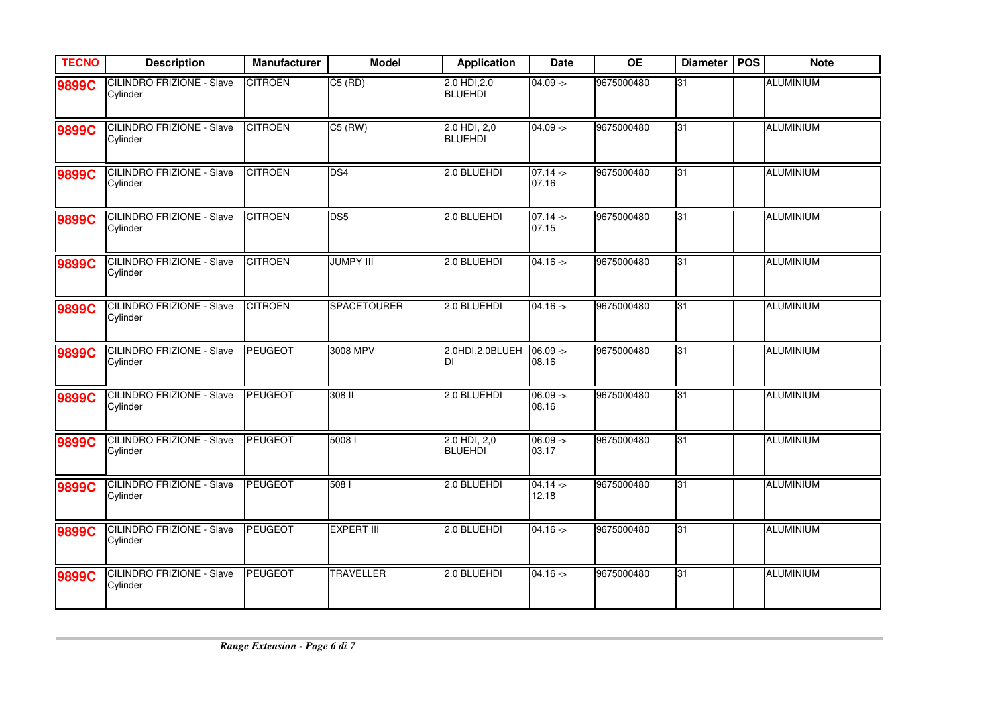| <b>TECNO</b> | <b>Description</b>                           | <b>Manufacturer</b> | <b>Model</b>       | <b>Application</b>             | <b>Date</b>         | <b>OE</b>  | <b>Diameter</b> | <b>POS</b> | <b>Note</b>      |
|--------------|----------------------------------------------|---------------------|--------------------|--------------------------------|---------------------|------------|-----------------|------------|------------------|
| 9899C        | <b>CILINDRO FRIZIONE - Slave</b><br>Cylinder | <b>CITROEN</b>      | $C5$ (RD)          | 2.0 HDI, 2.0<br><b>BLUEHDI</b> | $04.09 ->$          | 9675000480 | 31              |            | <b>ALUMINIUM</b> |
| 9899C        | <b>CILINDRO FRIZIONE - Slave</b><br>Cylinder | <b>CITROEN</b>      | $C5$ (RW)          | 2.0 HDI, 2,0<br><b>BLUEHDI</b> | $04.09 ->$          | 9675000480 | 31              |            | <b>ALUMINIUM</b> |
| 9899C        | <b>CILINDRO FRIZIONE - Slave</b><br>Cylinder | <b>CITROEN</b>      | DS4                | 2.0 BLUEHDI                    | $07.14 -$<br>07.16  | 9675000480 | 31              |            | <b>ALUMINIUM</b> |
| 9899C        | <b>CILINDRO FRIZIONE - Slave</b><br>Cylinder | <b>CITROEN</b>      | DS <sub>5</sub>    | 2.0 BLUEHDI                    | $07.14 -$<br>07.15  | 9675000480 | 31              |            | ALUMINIUM        |
| 9899C        | <b>CILINDRO FRIZIONE - Slave</b><br>Cylinder | <b>CITROEN</b>      | <b>JUMPY III</b>   | 2.0 BLUEHDI                    | $04.16 -$           | 9675000480 | 31              |            | <b>ALUMINIUM</b> |
| 9899C        | CILINDRO FRIZIONE - Slave<br>Cylinder        | <b>CITROEN</b>      | <b>SPACETOURER</b> | 2.0 BLUEHDI                    | $04.16 ->$          | 9675000480 | $\overline{31}$ |            | <b>ALUMINIUM</b> |
| 9899C        | <b>CILINDRO FRIZIONE - Slave</b><br>Cylinder | <b>PEUGEOT</b>      | 3008 MPV           | 2.0HDI, 2.0BLUEH<br>IDІ        | $06.09 ->$<br>08.16 | 9675000480 | 31              |            | <b>ALUMINIUM</b> |
| 9899C        | <b>CILINDRO FRIZIONE - Slave</b><br>Cylinder | <b>PEUGEOT</b>      | 308 II             | 2.0 BLUEHDI                    | $06.09 ->$<br>08.16 | 9675000480 | 31              |            | <b>ALUMINIUM</b> |
| 9899C        | CILINDRO FRIZIONE - Slave<br>Cylinder        | <b>PEUGEOT</b>      | 5008               | 2.0 HDI, 2,0<br><b>BLUEHDI</b> | $06.09 ->$<br>03.17 | 9675000480 | 31              |            | <b>ALUMINIUM</b> |
| 9899C        | CILINDRO FRIZIONE - Slave<br>Cylinder        | <b>PEUGEOT</b>      | 508 l              | 2.0 BLUEHDI                    | $04.14 -$<br>12.18  | 9675000480 | 31              |            | <b>ALUMINIUM</b> |
| 9899C        | <b>CILINDRO FRIZIONE - Slave</b><br>Cylinder | <b>PEUGEOT</b>      | <b>EXPERT III</b>  | 2.0 BLUEHDI                    | $04.16 -$           | 9675000480 | 31              |            | <b>ALUMINIUM</b> |
| 9899C        | <b>CILINDRO FRIZIONE - Slave</b><br>Cylinder | <b>PEUGEOT</b>      | <b>TRAVELLER</b>   | 2.0 BLUEHDI                    | $04.16 -$           | 9675000480 | 31              |            | <b>ALUMINIUM</b> |